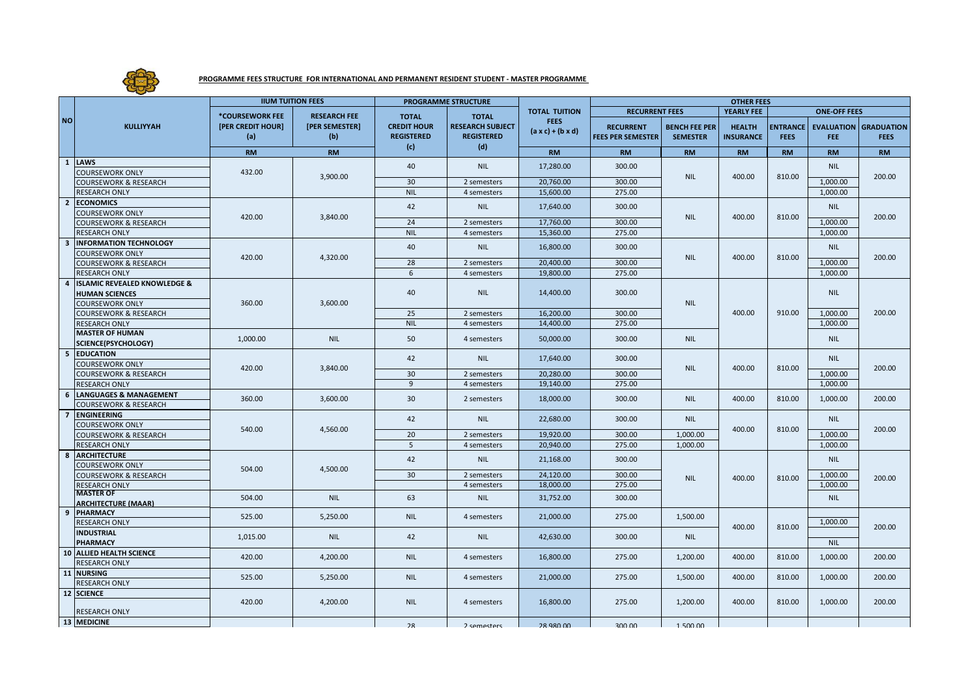

## **PROGRAMME FEES STRUCTURE FOR INTERNATIONAL AND PERMANENT RESIDENT STUDENT - MASTER PROGRAMME**

|                | <b>KULLIYYAH</b>                               | <b>IIUM TUITION FEES</b>                    |                                              | <b>PROGRAMME STRUCTURE</b>                                     |                                                                     |                                                                      | <b>OTHER FEES</b>                            |                                         |                                   |                                |                      |                                             |
|----------------|------------------------------------------------|---------------------------------------------|----------------------------------------------|----------------------------------------------------------------|---------------------------------------------------------------------|----------------------------------------------------------------------|----------------------------------------------|-----------------------------------------|-----------------------------------|--------------------------------|----------------------|---------------------------------------------|
| <b>NO</b>      |                                                |                                             |                                              |                                                                | <b>TOTAL</b><br><b>RESEARCH SUBJECT</b><br><b>REGISTERED</b><br>(d) | <b>TOTAL TUITION</b><br><b>FEES</b><br>$(a \times c) + (b \times d)$ | <b>RECURRENT FEES</b>                        | YEARLY FEE                              |                                   | <b>ONE-OFF FEES</b>            |                      |                                             |
|                |                                                | *COURSEWORK FEE<br>[PER CREDIT HOUR]<br>(a) | <b>RESEARCH FEE</b><br>[PER SEMESTER]<br>(b) | <b>TOTAL</b><br><b>CREDIT HOUR</b><br><b>REGISTERED</b><br>(c) |                                                                     |                                                                      | <b>RECURRENT</b><br><b>FEES PER SEMESTER</b> | <b>BENCH FEE PER</b><br><b>SEMESTER</b> | <b>HEALTH</b><br><b>INSURANCE</b> | <b>ENTRANCE</b><br><b>FEES</b> | <b>FEE</b>           | <b>EVALUATION GRADUATION</b><br><b>FEES</b> |
|                |                                                | <b>RM</b>                                   | <b>RM</b>                                    |                                                                |                                                                     | <b>RM</b>                                                            | <b>RM</b>                                    | <b>RM</b>                               | <b>RM</b>                         | <b>RM</b>                      | <b>RM</b>            | <b>RM</b>                                   |
|                | 1 LAWS                                         |                                             |                                              | 40                                                             | <b>NIL</b>                                                          | 17,280.00                                                            | 300.00                                       |                                         |                                   |                                | <b>NIL</b>           |                                             |
|                | <b>COURSEWORK ONLY</b>                         | 432.00                                      | 3,900.00                                     |                                                                |                                                                     |                                                                      |                                              | <b>NIL</b>                              | 400.00                            | 810.00                         |                      | 200.00                                      |
|                | <b>COURSEWORK &amp; RESEARCH</b>               |                                             |                                              | 30                                                             | 2 semesters                                                         | 20,760.00                                                            | 300.00                                       |                                         |                                   |                                | 1,000.00             |                                             |
|                | <b>RESEARCH ONLY</b>                           |                                             |                                              | <b>NIL</b>                                                     | 4 semesters                                                         | 15,600.00                                                            | 275.00                                       |                                         |                                   |                                | 1,000.00             |                                             |
| $\overline{2}$ | <b>ECONOMICS</b>                               | 420.00                                      | 3,840.00                                     | 42                                                             | <b>NIL</b>                                                          | 17,640.00                                                            | 300.00                                       | <b>NIL</b>                              | 400.00                            | 810.00                         | <b>NIL</b>           | 200.00                                      |
|                | <b>COURSEWORK ONLY</b>                         |                                             |                                              |                                                                |                                                                     |                                                                      |                                              |                                         |                                   |                                |                      |                                             |
|                | <b>COURSEWORK &amp; RESEARCH</b>               |                                             |                                              | 24                                                             | 2 semesters                                                         | 17,760.00                                                            | 300.00                                       |                                         |                                   |                                | 1,000.00             |                                             |
|                | <b>RESEARCH ONLY</b>                           |                                             |                                              | <b>NIL</b>                                                     | 4 semesters                                                         | 15,360.00                                                            | 275.00                                       |                                         |                                   |                                | 1,000.00             |                                             |
| 3              | <b>INFORMATION TECHNOLOGY</b>                  | 420.00                                      | 4,320.00                                     | 40                                                             | <b>NIL</b>                                                          | 16,800.00                                                            | 300.00                                       | <b>NIL</b>                              | 400.00                            | 810.00                         | <b>NIL</b>           |                                             |
|                | <b>COURSEWORK ONLY</b>                         |                                             |                                              |                                                                |                                                                     |                                                                      |                                              |                                         |                                   |                                |                      | 200.00                                      |
|                | <b>COURSEWORK &amp; RESEARCH</b>               |                                             |                                              | 28                                                             | 2 semesters                                                         | 20,400.00                                                            | 300.00                                       |                                         |                                   |                                | 1,000.00             |                                             |
|                | <b>RESEARCH ONLY</b>                           |                                             |                                              | 6                                                              | 4 semesters                                                         | 19,800.00                                                            | 275.00                                       |                                         |                                   |                                | 1,000.00             |                                             |
| 4              | <b>ISLAMIC REVEALED KNOWLEDGE &amp;</b>        |                                             |                                              | 40                                                             | <b>NIL</b>                                                          | 14,400.00                                                            | 300.00                                       | <b>NIL</b>                              | 400.00                            | 910.00                         |                      |                                             |
|                | <b>HUMAN SCIENCES</b>                          |                                             | 3,600.00                                     |                                                                |                                                                     |                                                                      |                                              |                                         |                                   |                                | <b>NIL</b>           | 200.00                                      |
|                | <b>COURSEWORK ONLY</b>                         | 360.00                                      |                                              |                                                                |                                                                     |                                                                      |                                              |                                         |                                   |                                |                      |                                             |
|                | <b>COURSEWORK &amp; RESEARCH</b>               |                                             |                                              | 25                                                             | 2 semesters                                                         | 16,200.00                                                            | 300.00                                       |                                         |                                   |                                | 1,000.00             |                                             |
|                | <b>RESEARCH ONLY</b><br><b>MASTER OF HUMAN</b> |                                             |                                              | <b>NIL</b>                                                     | 4 semesters                                                         | 14,400.00                                                            | 275.00                                       |                                         |                                   |                                | 1,000.00             |                                             |
|                | SCIENCE(PSYCHOLOGY)                            | 1,000.00                                    | <b>NIL</b>                                   | 50                                                             | 4 semesters                                                         | 50,000.00                                                            | 300.00                                       | <b>NIL</b>                              |                                   |                                | <b>NIL</b>           |                                             |
| 5              | <b>EDUCATION</b>                               |                                             |                                              |                                                                |                                                                     |                                                                      |                                              |                                         |                                   |                                |                      |                                             |
|                | <b>COURSEWORK ONLY</b>                         | 420.00                                      | 3,840.00                                     | 42                                                             | <b>NIL</b>                                                          | 17,640.00                                                            | 300.00                                       | <b>NIL</b>                              | 400.00                            | 810.00                         | <b>NIL</b>           |                                             |
|                | <b>COURSEWORK &amp; RESEARCH</b>               |                                             |                                              | 30                                                             | 2 semesters                                                         | 20,280.00                                                            | 300.00                                       |                                         |                                   |                                | 1,000.00             | 200.00                                      |
|                | <b>RESEARCH ONLY</b>                           |                                             |                                              | 9                                                              | 4 semesters                                                         | 19,140.00                                                            | 275.00                                       |                                         |                                   |                                | 1,000.00             |                                             |
| 6              | <b>LANGUAGES &amp; MANAGEMENT</b>              |                                             |                                              |                                                                |                                                                     |                                                                      |                                              |                                         |                                   |                                |                      |                                             |
|                | <b>COURSEWORK &amp; RESEARCH</b>               | 360.00                                      | 3,600.00                                     | 30 <sup>°</sup>                                                | 2 semesters                                                         | 18,000.00                                                            | 300.00                                       | <b>NIL</b>                              | 400.00                            | 810.00                         | 1,000.00             | 200.00                                      |
|                | 7 ENGINEERING                                  | 540.00                                      | 4,560.00                                     |                                                                |                                                                     |                                                                      |                                              | <b>NIL</b><br>1,000.00<br>1,000.00      | 400.00                            | 810.00                         |                      |                                             |
|                | <b>COURSEWORK ONLY</b>                         |                                             |                                              | 42                                                             | <b>NIL</b>                                                          | 22,680.00                                                            | 300.00                                       |                                         |                                   |                                | <b>NIL</b>           |                                             |
|                | <b>COURSEWORK &amp; RESEARCH</b>               |                                             |                                              | 20                                                             | 2 semesters                                                         | 19,920.00                                                            | 300.00                                       |                                         |                                   |                                | 1,000.00             | 200.00                                      |
|                | <b>RESEARCH ONLY</b>                           |                                             |                                              | 5                                                              | 4 semesters                                                         | 20,940.00                                                            | 275.00                                       |                                         |                                   |                                | 1,000.00             |                                             |
| 8              | <b>ARCHITECTURE</b>                            | 504.00                                      | 4,500.00                                     |                                                                |                                                                     |                                                                      |                                              | <b>NIL</b>                              | 400.00                            |                                |                      |                                             |
|                | <b>COURSEWORK ONLY</b>                         |                                             |                                              | 42                                                             | <b>NIL</b>                                                          | 21,168.00                                                            | 300.00                                       |                                         |                                   |                                | <b>NIL</b>           |                                             |
|                | <b>COURSEWORK &amp; RESEARCH</b>               |                                             |                                              | 30 <sup>°</sup>                                                | 2 semesters                                                         | 24,120.00                                                            | 300.00                                       |                                         |                                   | 810.00                         | 1,000.00<br>1,000.00 | 200.00                                      |
|                | <b>RESEARCH ONLY</b>                           |                                             |                                              |                                                                | 4 semesters                                                         | 18,000.00                                                            | 275.00                                       |                                         |                                   |                                |                      |                                             |
|                | <b>MASTER OF</b>                               | 504.00                                      | <b>NIL</b>                                   | 63                                                             | <b>NIL</b>                                                          | 31,752.00                                                            | 300.00                                       |                                         |                                   |                                | <b>NIL</b>           |                                             |
|                | ARCHITECTURE (MAAR)                            |                                             |                                              |                                                                |                                                                     |                                                                      |                                              |                                         |                                   |                                |                      |                                             |
| 9              | PHARMACY                                       | 525.00                                      | 5,250.00                                     | <b>NIL</b><br>42                                               | 4 semesters<br><b>NIL</b>                                           | 21,000.00<br>42,630.00                                               | 275.00<br>300.00                             | 1,500.00                                | 400.00                            | 810.00                         |                      |                                             |
|                | <b>RESEARCH ONLY</b>                           | 1,015.00                                    |                                              |                                                                |                                                                     |                                                                      |                                              |                                         |                                   |                                | 1,000.00             | 200.00                                      |
|                | <b>INDUSTRIAL</b><br><b>PHARMACY</b>           |                                             | <b>NIL</b>                                   |                                                                |                                                                     |                                                                      |                                              | <b>NIL</b>                              |                                   |                                | <b>NIL</b>           |                                             |
|                | <b>10 ALLIED HEALTH SCIENCE</b>                |                                             |                                              |                                                                |                                                                     |                                                                      |                                              |                                         |                                   |                                |                      |                                             |
|                | <b>RESEARCH ONLY</b>                           | 420.00                                      | 4,200.00                                     | <b>NIL</b>                                                     | 4 semesters                                                         | 16,800.00                                                            | 275.00                                       | 1,200.00                                | 400.00                            | 810.00                         | 1,000.00             | 200.00                                      |
|                | 11 NURSING                                     |                                             |                                              |                                                                |                                                                     |                                                                      |                                              |                                         |                                   |                                |                      |                                             |
|                | <b>RESEARCH ONLY</b>                           | 525.00                                      | 5,250.00                                     | <b>NIL</b>                                                     | 4 semesters                                                         | 21,000.00                                                            | 275.00                                       | 1,500.00                                | 400.00                            | 810.00                         | 1,000.00             | 200.00                                      |
|                | 12 SCIENCE                                     |                                             |                                              |                                                                |                                                                     |                                                                      |                                              |                                         |                                   |                                |                      |                                             |
|                |                                                | 420.00                                      | 4,200.00                                     | <b>NIL</b>                                                     | 4 semesters                                                         | 16,800.00                                                            | 275.00                                       | 1,200.00                                | 400.00                            | 810.00                         | 1,000.00             | 200.00                                      |
|                | <b>RESEARCH ONLY</b>                           |                                             |                                              |                                                                |                                                                     |                                                                      |                                              |                                         |                                   |                                |                      |                                             |
|                | 13 MEDICINE                                    |                                             |                                              | 28                                                             | 2 competers                                                         | 28.980.00                                                            | 300.00                                       | 1.500.00                                |                                   |                                |                      |                                             |